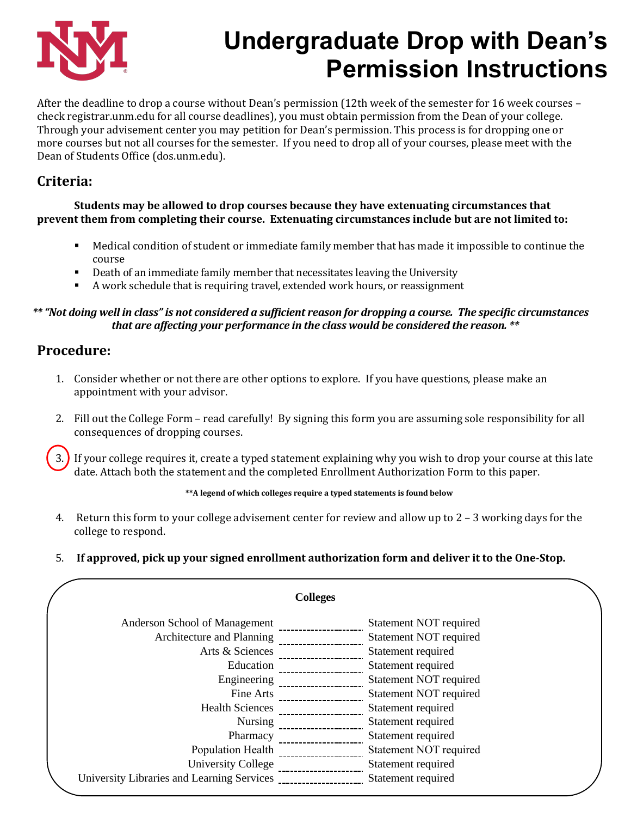

## **Undergraduate Drop with Dean's Permission Instructions**

After the deadline to drop a course without Dean's permission (12th week of the semester for 16 week courses – check registrar.unm.edu for all course deadlines), you must obtain permission from the Dean of your college. Through your advisement center you may petition for Dean's permission. This process is for dropping one or more courses but not all courses for the semester. If you need to drop all of your courses, please meet with the Dean of Students Office (dos.unm.edu).

## **Criteria:**

#### **Students may be allowed to drop courses because they have extenuating circumstances that prevent them from completing their course. Extenuating circumstances include but are not limited to:**

- Medical condition of student or immediate family member that has made it impossible to continue the course
- Death of an immediate family member that necessitates leaving the University
- A work schedule that is requiring travel, extended work hours, or reassignment

#### *\*\* "Not doing well in class" is not considered a sufficient reason for dropping a course. The specific circumstances that are affecting your performance in the class would be considered the reason. \*\**

## **Procedure:**

- 1. Consider whether or not there are other options to explore. If you have questions, please make an appointment with your advisor.
- 2. Fill out the College Form read carefully! By signing this form you are assuming sole responsibility for all consequences of dropping courses.

3. If your college requires it, create a typed statement explaining why you wish to drop your course at this late date. Attach both the statement and the completed Enrollment Authorization Form to this paper.

**\*\*A legend of which colleges require a typed statements is found below** 

- 4. Return this form to your college advisement center for review and allow up to 2 3 working days for the college to respond.
- 5. **If approved, pick up your signed enrollment authorization form and deliver it to the One-Stop.**

| <b>Colleges</b>                            |                        |  |
|--------------------------------------------|------------------------|--|
| Anderson School of Management              | Statement NOT required |  |
| Architecture and Planning                  | Statement NOT required |  |
| Arts & Sciences                            | Statement required     |  |
| Education                                  | Statement required     |  |
| Engineering                                | Statement NOT required |  |
| Fine Arts                                  | Statement NOT required |  |
| <b>Health Sciences</b>                     | Statement required     |  |
| <b>Nursing</b>                             | Statement required     |  |
| Pharmacy                                   | Statement required     |  |
| Population Health                          | Statement NOT required |  |
| <b>University College</b>                  | Statement required     |  |
| University Libraries and Learning Services | Statement required     |  |